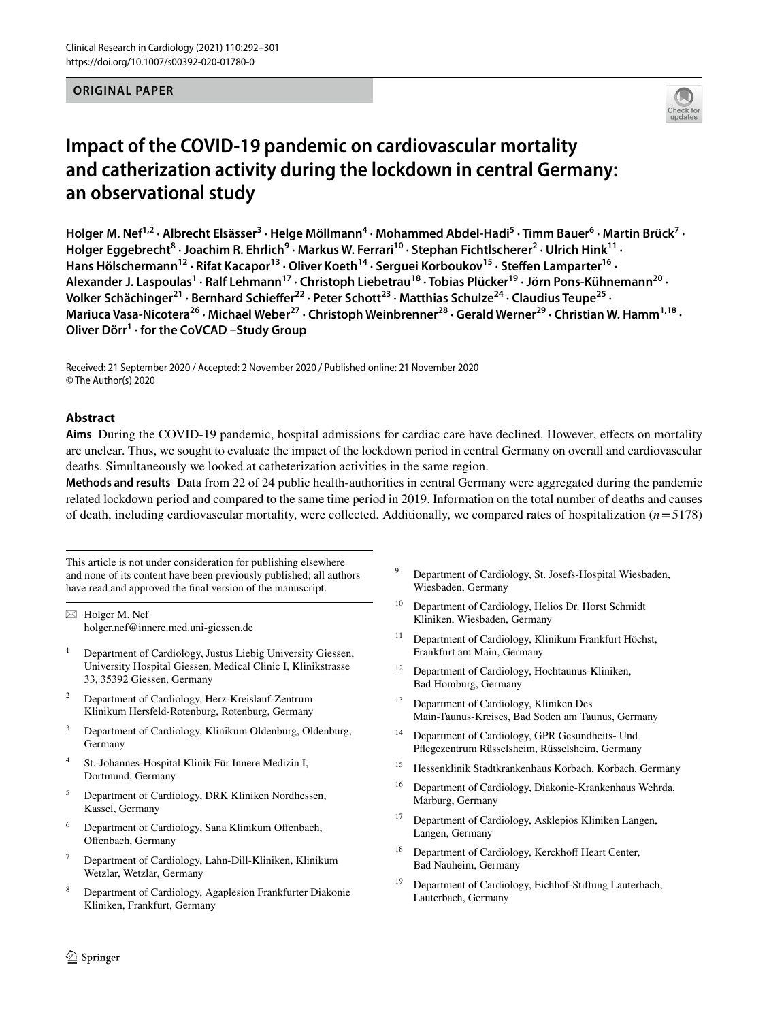#### **ORIGINAL PAPER**



# **Impact of the COVID‑19 pandemic on cardiovascular mortality and catherization activity during the lockdown in central Germany: an observational study**

Holger M. Nef<sup>1,2</sup> · Albrecht Elsässer<sup>3</sup> · Helge Möllmann<sup>4</sup> · Mohammed Abdel-Hadi<sup>5</sup> · Timm Bauer<sup>6</sup> · Martin Brück<sup>7</sup> · **Holger Eggebrecht<sup>8</sup> · Joachim R. Ehrlich9 · Markus W. Ferrari10 · Stephan Fichtlscherer2 · Ulrich Hink11 ·**  Hans Hölschermann<sup>12</sup> · Rifat Kacapor<sup>13</sup> · Oliver Koeth<sup>14</sup> · Serguei Korboukov<sup>15</sup> · Steffen Lamparter<sup>16</sup> · Alexander J. Laspoulas<sup>1</sup> · Ralf Lehmann<sup>17</sup> · Christoph Liebetrau<sup>18</sup> · Tobias Plücker<sup>19</sup> · Jörn Pons-Kühnemann<sup>20</sup> · Volker Schächinger<sup>21</sup> · Bernhard Schieffer<sup>22</sup> · Peter Schott<sup>23</sup> · Matthias Schulze<sup>24</sup> · Claudius Teupe<sup>25</sup> · Mariuca Vasa-Nicotera<sup>26</sup> · Michael Weber<sup>27</sup> · Christoph Weinbrenner<sup>28</sup> · Gerald Werner<sup>29</sup> · Christian W. Hamm<sup>1,18</sup> · **Oliver Dörr<sup>1</sup> · for the CoVCAD –Study Group**

Received: 21 September 2020 / Accepted: 2 November 2020 / Published online: 21 November 2020 © The Author(s) 2020

### **Abstract**

**Aims** During the COVID-19 pandemic, hospital admissions for cardiac care have declined. However, efects on mortality are unclear. Thus, we sought to evaluate the impact of the lockdown period in central Germany on overall and cardiovascular deaths. Simultaneously we looked at catheterization activities in the same region.

**Methods and results** Data from 22 of 24 public health-authorities in central Germany were aggregated during the pandemic related lockdown period and compared to the same time period in 2019. Information on the total number of deaths and causes of death, including cardiovascular mortality, were collected. Additionally, we compared rates of hospitalization  $(n=5178)$ 

This article is not under consideration for publishing elsewhere and none of its content have been previously published; all authors have read and approved the fnal version of the manuscript.

 $\boxtimes$  Holger M. Nef holger.nef@innere.med.uni-giessen.de

- <sup>1</sup> Department of Cardiology, Justus Liebig University Giessen, University Hospital Giessen, Medical Clinic I, Klinikstrasse 33, 35392 Giessen, Germany
- <sup>2</sup> Department of Cardiology, Herz-Kreislauf-Zentrum Klinikum Hersfeld-Rotenburg, Rotenburg, Germany
- <sup>3</sup> Department of Cardiology, Klinikum Oldenburg, Oldenburg, Germany
- <sup>4</sup> St.-Johannes-Hospital Klinik Für Innere Medizin I, Dortmund, Germany
- <sup>5</sup> Department of Cardiology, DRK Kliniken Nordhessen, Kassel, Germany
- Department of Cardiology, Sana Klinikum Offenbach, Ofenbach, Germany
- <sup>7</sup> Department of Cardiology, Lahn-Dill-Kliniken, Klinikum Wetzlar, Wetzlar, Germany
- <sup>8</sup> Department of Cardiology, Agaplesion Frankfurter Diakonie Kliniken, Frankfurt, Germany
- Department of Cardiology, St. Josefs-Hospital Wiesbaden, Wiesbaden, Germany
- <sup>10</sup> Department of Cardiology, Helios Dr. Horst Schmidt Kliniken, Wiesbaden, Germany
- <sup>11</sup> Department of Cardiology, Klinikum Frankfurt Höchst, Frankfurt am Main, Germany
- <sup>12</sup> Department of Cardiology, Hochtaunus-Kliniken, Bad Homburg, Germany
- <sup>13</sup> Department of Cardiology, Kliniken Des Main-Taunus-Kreises, Bad Soden am Taunus, Germany
- <sup>14</sup> Department of Cardiology, GPR Gesundheits- Und Pfegezentrum Rüsselsheim, Rüsselsheim, Germany
- <sup>15</sup> Hessenklinik Stadtkrankenhaus Korbach, Korbach, Germany
- <sup>16</sup> Department of Cardiology, Diakonie-Krankenhaus Wehrda, Marburg, Germany
- <sup>17</sup> Department of Cardiology, Asklepios Kliniken Langen, Langen, Germany
- <sup>18</sup> Department of Cardiology, Kerckhoff Heart Center, Bad Nauheim, Germany
- Department of Cardiology, Eichhof-Stiftung Lauterbach, Lauterbach, Germany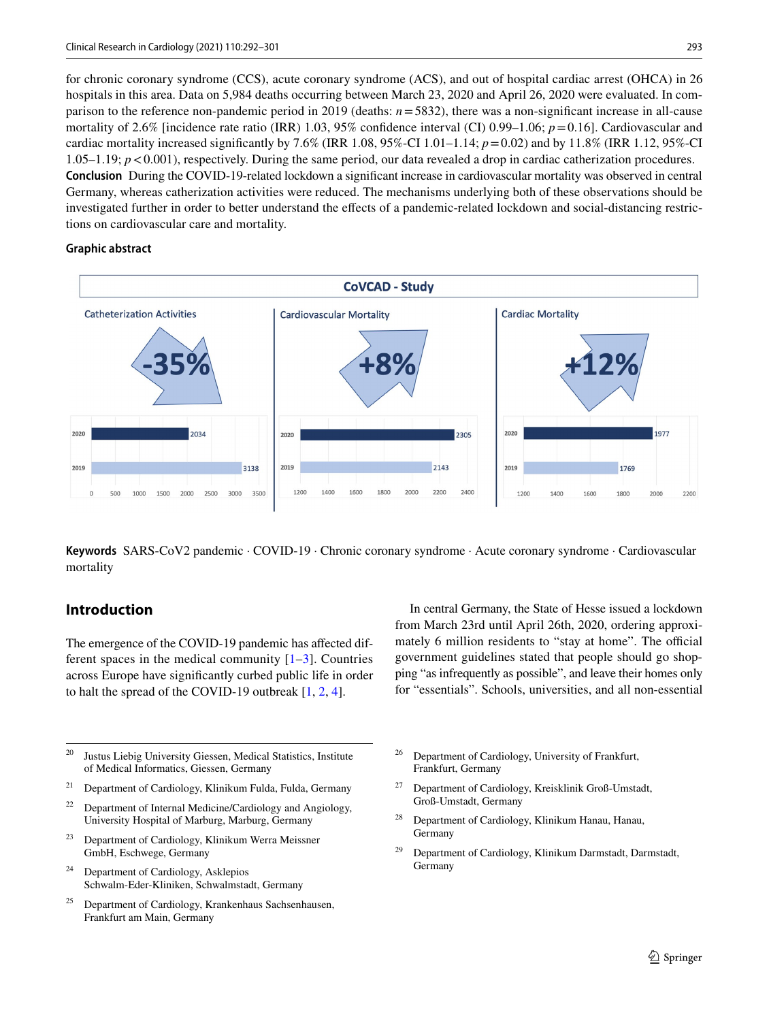for chronic coronary syndrome (CCS), acute coronary syndrome (ACS), and out of hospital cardiac arrest (OHCA) in 26 hospitals in this area. Data on 5,984 deaths occurring between March 23, 2020 and April 26, 2020 were evaluated. In comparison to the reference non-pandemic period in 2019 (deaths: *n*=5832), there was a non-signifcant increase in all-cause mortality of 2.6% [incidence rate ratio (IRR) 1.03, 95% confidence interval (CI) 0.99–1.06;  $p=0.16$ ]. Cardiovascular and cardiac mortality increased significantly by 7.6% (IRR 1.08, 95%-CI 1.01–1.14;  $p=0.02$ ) and by 11.8% (IRR 1.12, 95%-CI 1.05–1.19; *p*<0.001), respectively. During the same period, our data revealed a drop in cardiac catherization procedures. **Conclusion** During the COVID-19-related lockdown a signifcant increase in cardiovascular mortality was observed in central Germany, whereas catherization activities were reduced. The mechanisms underlying both of these observations should be investigated further in order to better understand the efects of a pandemic-related lockdown and social-distancing restrictions on cardiovascular care and mortality.

#### **Graphic abstract**



**Keywords** SARS-CoV2 pandemic · COVID-19 · Chronic coronary syndrome · Acute coronary syndrome · Cardiovascular mortality

# **Introduction**

The emergence of the COVID-19 pandemic has afected different spaces in the medical community  $[1-3]$  $[1-3]$  $[1-3]$ . Countries across Europe have signifcantly curbed public life in order to halt the spread of the COVID-19 outbreak [[1](#page-7-0), [2](#page-7-2), [4](#page-8-0)].

- <sup>20</sup> Justus Liebig University Giessen, Medical Statistics, Institute of Medical Informatics, Giessen, Germany
- <sup>21</sup> Department of Cardiology, Klinikum Fulda, Fulda, Germany
- $22$  Department of Internal Medicine/Cardiology and Angiology, University Hospital of Marburg, Marburg, Germany
- <sup>23</sup> Department of Cardiology, Klinikum Werra Meissner GmbH, Eschwege, Germany
- <sup>24</sup> Department of Cardiology, Asklepios Schwalm-Eder-Kliniken, Schwalmstadt, Germany
- <sup>25</sup> Department of Cardiology, Krankenhaus Sachsenhausen, Frankfurt am Main, Germany

In central Germany, the State of Hesse issued a lockdown from March 23rd until April 26th, 2020, ordering approximately 6 million residents to "stay at home". The official government guidelines stated that people should go shopping "as infrequently as possible", and leave their homes only for "essentials". Schools, universities, and all non-essential

- <sup>26</sup> Department of Cardiology, University of Frankfurt, Frankfurt, Germany
- <sup>27</sup> Department of Cardiology, Kreisklinik Groß-Umstadt, Groß-Umstadt, Germany
- <sup>28</sup> Department of Cardiology, Klinikum Hanau, Hanau, Germany
- <sup>29</sup> Department of Cardiology, Klinikum Darmstadt, Darmstadt, Germany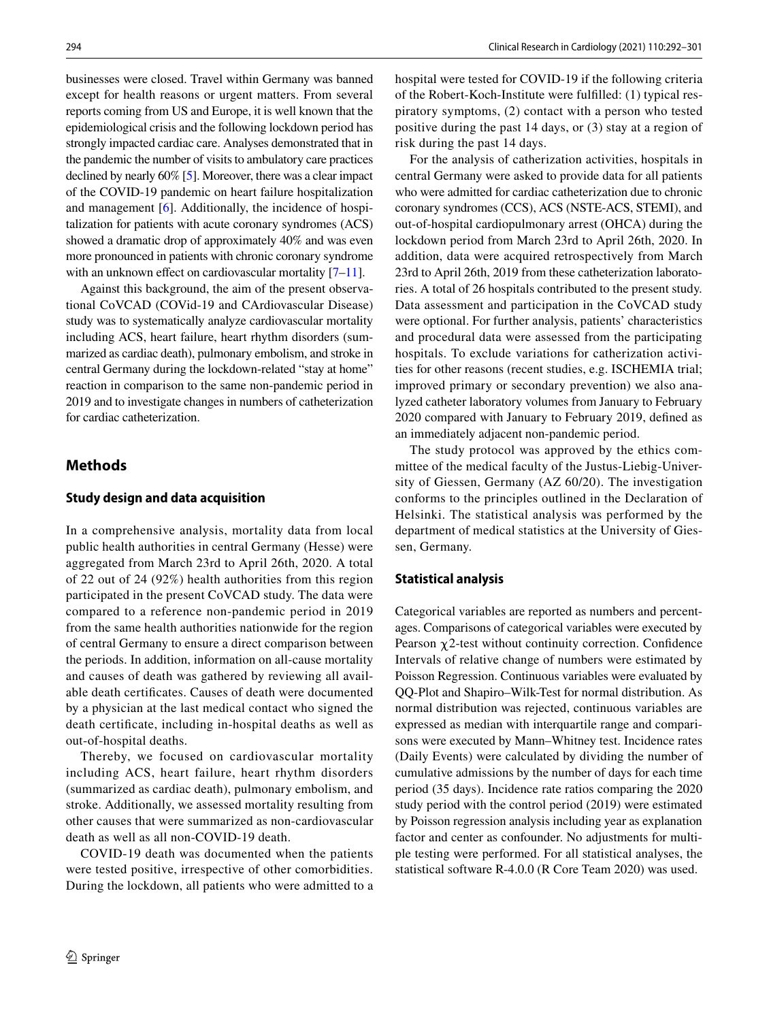businesses were closed. Travel within Germany was banned except for health reasons or urgent matters. From several reports coming from US and Europe, it is well known that the epidemiological crisis and the following lockdown period has strongly impacted cardiac care. Analyses demonstrated that in the pandemic the number of visits to ambulatory care practices declined by nearly 60% [[5](#page-8-1)]. Moreover, there was a clear impact of the COVID-19 pandemic on heart failure hospitalization and management [\[6](#page-8-2)]. Additionally, the incidence of hospitalization for patients with acute coronary syndromes (ACS) showed a dramatic drop of approximately 40% and was even more pronounced in patients with chronic coronary syndrome with an unknown effect on cardiovascular mortality [[7–](#page-8-3)[11](#page-8-4)].

Against this background, the aim of the present observational CoVCAD (COVid-19 and CArdiovascular Disease) study was to systematically analyze cardiovascular mortality including ACS, heart failure, heart rhythm disorders (summarized as cardiac death), pulmonary embolism, and stroke in central Germany during the lockdown-related "stay at home" reaction in comparison to the same non-pandemic period in 2019 and to investigate changes in numbers of catheterization for cardiac catheterization.

## **Methods**

#### **Study design and data acquisition**

In a comprehensive analysis, mortality data from local public health authorities in central Germany (Hesse) were aggregated from March 23rd to April 26th, 2020. A total of 22 out of 24 (92%) health authorities from this region participated in the present CoVCAD study. The data were compared to a reference non-pandemic period in 2019 from the same health authorities nationwide for the region of central Germany to ensure a direct comparison between the periods. In addition, information on all-cause mortality and causes of death was gathered by reviewing all available death certifcates. Causes of death were documented by a physician at the last medical contact who signed the death certifcate, including in-hospital deaths as well as out-of-hospital deaths.

Thereby, we focused on cardiovascular mortality including ACS, heart failure, heart rhythm disorders (summarized as cardiac death), pulmonary embolism, and stroke. Additionally, we assessed mortality resulting from other causes that were summarized as non-cardiovascular death as well as all non-COVID-19 death.

COVID-19 death was documented when the patients were tested positive, irrespective of other comorbidities. During the lockdown, all patients who were admitted to a hospital were tested for COVID-19 if the following criteria of the Robert-Koch-Institute were fulflled: (1) typical respiratory symptoms, (2) contact with a person who tested positive during the past 14 days, or (3) stay at a region of risk during the past 14 days.

For the analysis of catherization activities, hospitals in central Germany were asked to provide data for all patients who were admitted for cardiac catheterization due to chronic coronary syndromes (CCS), ACS (NSTE-ACS, STEMI), and out-of-hospital cardiopulmonary arrest (OHCA) during the lockdown period from March 23rd to April 26th, 2020. In addition, data were acquired retrospectively from March 23rd to April 26th, 2019 from these catheterization laboratories. A total of 26 hospitals contributed to the present study. Data assessment and participation in the CoVCAD study were optional. For further analysis, patients' characteristics and procedural data were assessed from the participating hospitals. To exclude variations for catherization activities for other reasons (recent studies, e.g. ISCHEMIA trial; improved primary or secondary prevention) we also analyzed catheter laboratory volumes from January to February 2020 compared with January to February 2019, defned as an immediately adjacent non-pandemic period.

The study protocol was approved by the ethics committee of the medical faculty of the Justus-Liebig-University of Giessen, Germany (AZ 60/20). The investigation conforms to the principles outlined in the Declaration of Helsinki. The statistical analysis was performed by the department of medical statistics at the University of Giessen, Germany.

### **Statistical analysis**

Categorical variables are reported as numbers and percentages. Comparisons of categorical variables were executed by Pearson  $\chi$ 2-test without continuity correction. Confidence Intervals of relative change of numbers were estimated by Poisson Regression. Continuous variables were evaluated by QQ-Plot and Shapiro–Wilk-Test for normal distribution. As normal distribution was rejected, continuous variables are expressed as median with interquartile range and comparisons were executed by Mann–Whitney test. Incidence rates (Daily Events) were calculated by dividing the number of cumulative admissions by the number of days for each time period (35 days). Incidence rate ratios comparing the 2020 study period with the control period (2019) were estimated by Poisson regression analysis including year as explanation factor and center as confounder. No adjustments for multiple testing were performed. For all statistical analyses, the statistical software R-4.0.0 (R Core Team 2020) was used.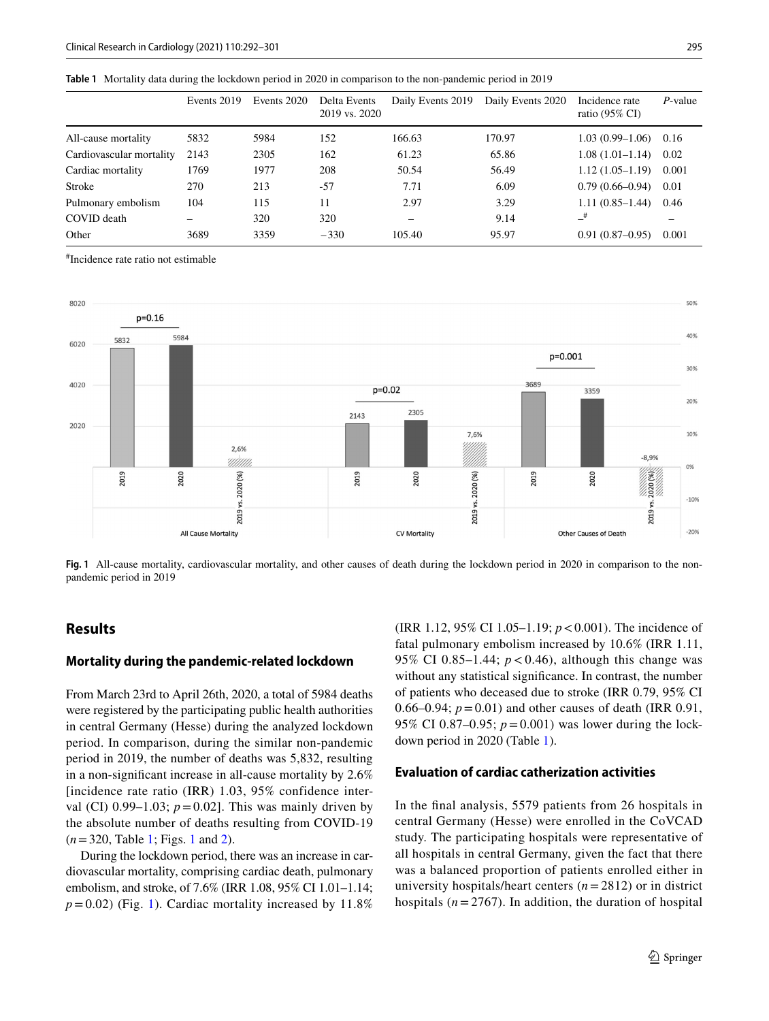<span id="page-3-0"></span>

|  |  |  |  |  | <b>Table 1</b> Mortality data during the lockdown period in 2020 in comparison to the non-pandemic period in 2019 |  |
|--|--|--|--|--|-------------------------------------------------------------------------------------------------------------------|--|
|--|--|--|--|--|-------------------------------------------------------------------------------------------------------------------|--|

|                          | Events 2019 | Events 2020 | Delta Events<br>2019 vs. 2020 | Daily Events 2019        | Daily Events 2020 | Incidence rate<br>ratio $(95\% \text{ CI})$ | $P$ -value |
|--------------------------|-------------|-------------|-------------------------------|--------------------------|-------------------|---------------------------------------------|------------|
| All-cause mortality      | 5832        | 5984        | 152                           | 166.63                   | 170.97            | $1.03(0.99-1.06)$                           | 0.16       |
| Cardiovascular mortality | 2143        | 2305        | 162                           | 61.23                    | 65.86             | $1.08(1.01-1.14)$                           | 0.02       |
| Cardiac mortality        | 1769        | 1977        | 208                           | 50.54                    | 56.49             | $1.12(1.05-1.19)$                           | 0.001      |
| Stroke                   | 270         | 213         | $-57$                         | 7.71                     | 6.09              | $0.79(0.66 - 0.94)$                         | 0.01       |
| Pulmonary embolism       | 104         | 115         | 11                            | 2.97                     | 3.29              | $1.11(0.85-1.44)$                           | 0.46       |
| COVID death              |             | 320         | 320                           | $\overline{\phantom{0}}$ | 9.14              | $-$ #                                       |            |
| Other                    | 3689        | 3359        | $-330$                        | 105.40                   | 95.97             | $0.91(0.87-0.95)$                           | 0.001      |

# Incidence rate ratio not estimable



<span id="page-3-1"></span>**Fig. 1** All-cause mortality, cardiovascular mortality, and other causes of death during the lockdown period in 2020 in comparison to the nonpandemic period in 2019

## **Results**

## **Mortality during the pandemic‑related lockdown**

From March 23rd to April 26th, 2020, a total of 5984 deaths were registered by the participating public health authorities in central Germany (Hesse) during the analyzed lockdown period. In comparison, during the similar non-pandemic period in 2019, the number of deaths was 5,832, resulting in a non-signifcant increase in all-cause mortality by 2.6% [incidence rate ratio (IRR) 1.03, 95% confidence interval (CI)  $0.99-1.03$ ;  $p=0.02$ ]. This was mainly driven by the absolute number of deaths resulting from COVID-19 (*n*=320, Table [1](#page-3-0); Figs. [1](#page-3-1) and [2](#page-6-0)).

During the lockdown period, there was an increase in cardiovascular mortality, comprising cardiac death, pulmonary embolism, and stroke, of 7.6% (IRR 1.08, 95% CI 1.01–1.14;  $p=0.02$ ) (Fig. [1\)](#page-3-1). Cardiac mortality increased by 11.8%

(IRR 1.12, 95% CI 1.05–1.19; *p*<0.001). The incidence of fatal pulmonary embolism increased by 10.6% (IRR 1.11, 95% CI 0.85–1.44;  $p < 0.46$ ), although this change was without any statistical signifcance. In contrast, the number of patients who deceased due to stroke (IRR 0.79, 95% CI 0.66–0.94;  $p = 0.01$ ) and other causes of death (IRR 0.91, 95% CI 0.87–0.95;  $p = 0.001$ ) was lower during the lockdown period in 2020 (Table [1\)](#page-3-0).

#### **Evaluation of cardiac catherization activities**

In the fnal analysis, 5579 patients from 26 hospitals in central Germany (Hesse) were enrolled in the CoVCAD study. The participating hospitals were representative of all hospitals in central Germany, given the fact that there was a balanced proportion of patients enrolled either in university hospitals/heart centers (*n*=2812) or in district hospitals  $(n=2767)$ . In addition, the duration of hospital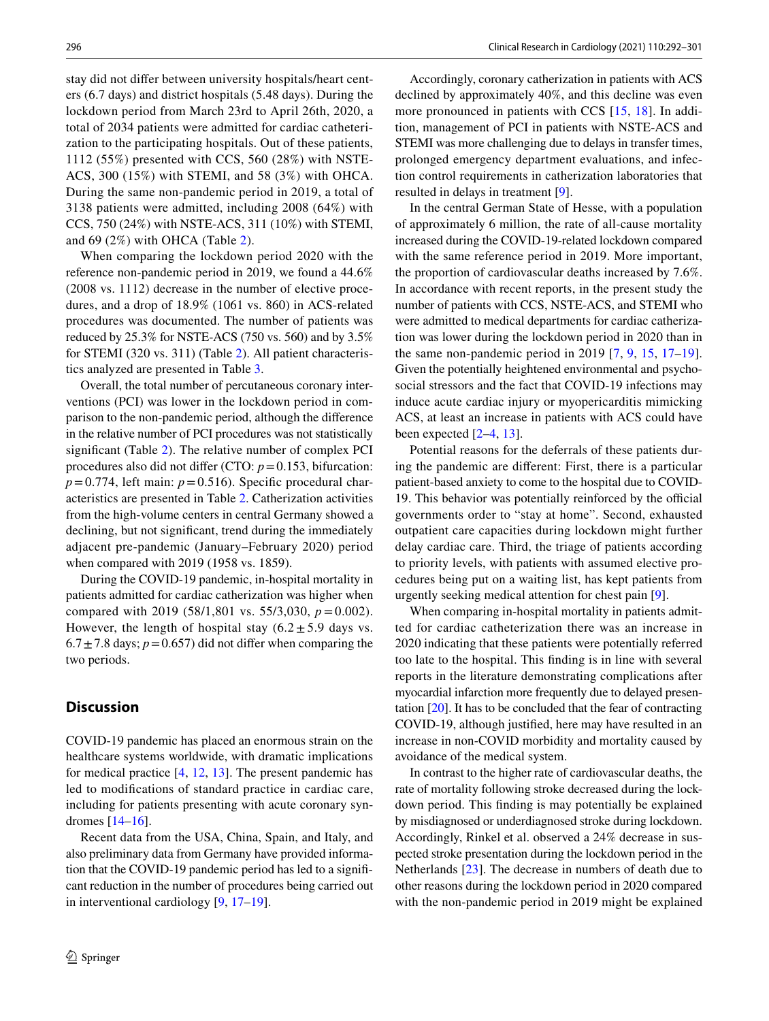stay did not difer between university hospitals/heart centers (6.7 days) and district hospitals (5.48 days). During the lockdown period from March 23rd to April 26th, 2020, a total of 2034 patients were admitted for cardiac catheterization to the participating hospitals. Out of these patients, 1112 (55%) presented with CCS, 560 (28%) with NSTE-ACS, 300 (15%) with STEMI, and 58 (3%) with OHCA. During the same non-pandemic period in 2019, a total of 3138 patients were admitted, including 2008 (64%) with CCS, 750 (24%) with NSTE-ACS, 311 (10%) with STEMI, and 69 (2%) with OHCA (Table [2](#page-6-1)).

When comparing the lockdown period 2020 with the reference non-pandemic period in 2019, we found a 44.6% (2008 vs. 1112) decrease in the number of elective procedures, and a drop of 18.9% (1061 vs. 860) in ACS-related procedures was documented. The number of patients was reduced by 25.3% for NSTE-ACS (750 vs. 560) and by 3.5% for STEMI (320 vs. 311) (Table [2\)](#page-6-1). All patient characteristics analyzed are presented in Table [3](#page-7-3).

Overall, the total number of percutaneous coronary interventions (PCI) was lower in the lockdown period in comparison to the non-pandemic period, although the diference in the relative number of PCI procedures was not statistically signifcant (Table [2](#page-6-1)). The relative number of complex PCI procedures also did not difer (CTO: *p*=0.153, bifurcation:  $p=0.774$ , left main:  $p=0.516$ ). Specific procedural characteristics are presented in Table [2](#page-6-1). Catherization activities from the high-volume centers in central Germany showed a declining, but not signifcant, trend during the immediately adjacent pre-pandemic (January–February 2020) period when compared with 2019 (1958 vs. 1859).

During the COVID-19 pandemic, in-hospital mortality in patients admitted for cardiac catherization was higher when compared with 2019 (58/1,801 vs. 55/3,030,  $p = 0.002$ ). However, the length of hospital stay  $(6.2 \pm 5.9$  days vs.  $6.7 \pm 7.8$  days;  $p = 0.657$ ) did not differ when comparing the two periods.

## **Discussion**

COVID-19 pandemic has placed an enormous strain on the healthcare systems worldwide, with dramatic implications for medical practice [\[4](#page-8-0), [12,](#page-8-5) [13](#page-8-6)]. The present pandemic has led to modifcations of standard practice in cardiac care, including for patients presenting with acute coronary syndromes [[14–](#page-8-7)[16\]](#page-8-8).

Recent data from the USA, China, Spain, and Italy, and also preliminary data from Germany have provided information that the COVID-19 pandemic period has led to a signifcant reduction in the number of procedures being carried out in interventional cardiology [[9](#page-8-9), [17](#page-8-10)[–19](#page-8-11)].

Accordingly, coronary catherization in patients with ACS declined by approximately 40%, and this decline was even more pronounced in patients with CCS [[15](#page-8-12), [18](#page-8-13)]. In addition, management of PCI in patients with NSTE-ACS and STEMI was more challenging due to delays in transfer times, prolonged emergency department evaluations, and infection control requirements in catherization laboratories that resulted in delays in treatment [\[9](#page-8-9)].

In the central German State of Hesse, with a population of approximately 6 million, the rate of all-cause mortality increased during the COVID-19-related lockdown compared with the same reference period in 2019. More important, the proportion of cardiovascular deaths increased by 7.6%. In accordance with recent reports, in the present study the number of patients with CCS, NSTE-ACS, and STEMI who were admitted to medical departments for cardiac catherization was lower during the lockdown period in 2020 than in the same non-pandemic period in 201[9](#page-8-9)  $[7, 9, 15, 17-19]$  $[7, 9, 15, 17-19]$  $[7, 9, 15, 17-19]$  $[7, 9, 15, 17-19]$  $[7, 9, 15, 17-19]$  $[7, 9, 15, 17-19]$ . Given the potentially heightened environmental and psychosocial stressors and the fact that COVID-19 infections may induce acute cardiac injury or myopericarditis mimicking ACS, at least an increase in patients with ACS could have been expected  $[2-4, 13]$  $[2-4, 13]$  $[2-4, 13]$  $[2-4, 13]$ .

Potential reasons for the deferrals of these patients during the pandemic are diferent: First, there is a particular patient-based anxiety to come to the hospital due to COVID-19. This behavior was potentially reinforced by the official governments order to "stay at home". Second, exhausted outpatient care capacities during lockdown might further delay cardiac care. Third, the triage of patients according to priority levels, with patients with assumed elective procedures being put on a waiting list, has kept patients from urgently seeking medical attention for chest pain [[9\]](#page-8-9).

When comparing in-hospital mortality in patients admitted for cardiac catheterization there was an increase in 2020 indicating that these patients were potentially referred too late to the hospital. This fnding is in line with several reports in the literature demonstrating complications after myocardial infarction more frequently due to delayed presentation [\[20](#page-8-14)]. It has to be concluded that the fear of contracting COVID-19, although justifed, here may have resulted in an increase in non-COVID morbidity and mortality caused by avoidance of the medical system.

In contrast to the higher rate of cardiovascular deaths, the rate of mortality following stroke decreased during the lockdown period. This fnding is may potentially be explained by misdiagnosed or underdiagnosed stroke during lockdown. Accordingly, Rinkel et al. observed a 24% decrease in suspected stroke presentation during the lockdown period in the Netherlands [[23\]](#page-8-15). The decrease in numbers of death due to other reasons during the lockdown period in 2020 compared with the non-pandemic period in 2019 might be explained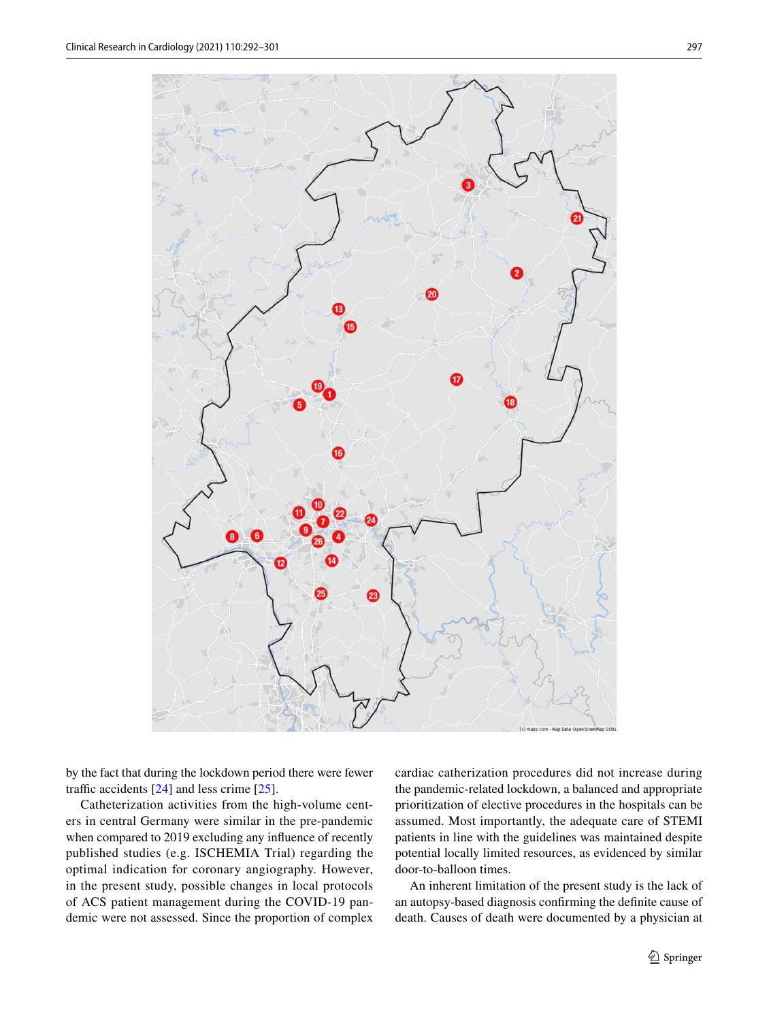

by the fact that during the lockdown period there were fewer traffic accidents  $[24]$  and less crime  $[25]$  $[25]$  $[25]$ .

Catheterization activities from the high-volume centers in central Germany were similar in the pre-pandemic when compared to 2019 excluding any infuence of recently published studies (e.g. ISCHEMIA Trial) regarding the optimal indication for coronary angiography. However, in the present study, possible changes in local protocols of ACS patient management during the COVID-19 pandemic were not assessed. Since the proportion of complex cardiac catherization procedures did not increase during the pandemic-related lockdown, a balanced and appropriate prioritization of elective procedures in the hospitals can be assumed. Most importantly, the adequate care of STEMI patients in line with the guidelines was maintained despite potential locally limited resources, as evidenced by similar door-to-balloon times.

An inherent limitation of the present study is the lack of an autopsy-based diagnosis confrming the defnite cause of death. Causes of death were documented by a physician at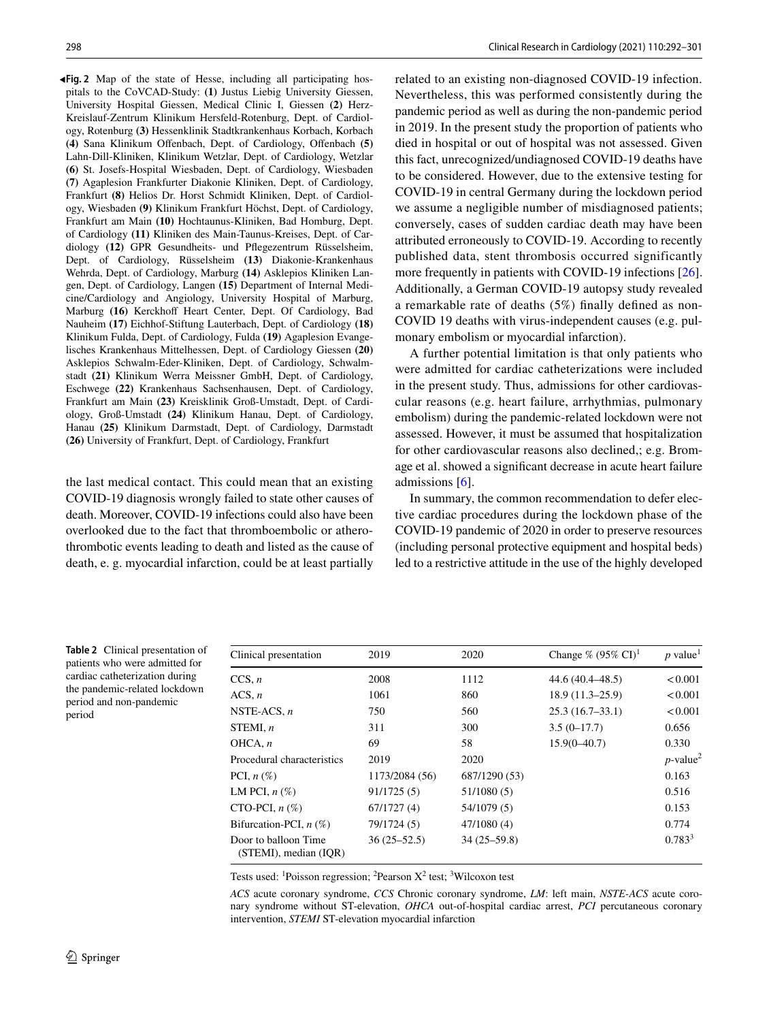<span id="page-6-0"></span>**Fig. 2** Map of the state of Hesse, including all participating hos-◂ pitals to the CoVCAD-Study: **(1)** Justus Liebig University Giessen, University Hospital Giessen, Medical Clinic I, Giessen **(2)** Herz-Kreislauf-Zentrum Klinikum Hersfeld-Rotenburg, Dept. of Cardiology, Rotenburg **(3)** Hessenklinik Stadtkrankenhaus Korbach, Korbach **(4)** Sana Klinikum Ofenbach, Dept. of Cardiology, Ofenbach **(5)** Lahn-Dill-Kliniken, Klinikum Wetzlar, Dept. of Cardiology, Wetzlar **(6)** St. Josefs-Hospital Wiesbaden, Dept. of Cardiology, Wiesbaden **(7)** Agaplesion Frankfurter Diakonie Kliniken, Dept. of Cardiology, Frankfurt **(8)** Helios Dr. Horst Schmidt Kliniken, Dept. of Cardiology, Wiesbaden **(9)** Klinikum Frankfurt Höchst, Dept. of Cardiology, Frankfurt am Main **(10)** Hochtaunus-Kliniken, Bad Homburg, Dept. of Cardiology **(11)** Kliniken des Main-Taunus-Kreises, Dept. of Cardiology (12) GPR Gesundheits- und Pflegezentrum Rüsselsheim, Dept. of Cardiology, Rüsselsheim **(13)** Diakonie-Krankenhaus Wehrda, Dept. of Cardiology, Marburg **(14)** Asklepios Kliniken Langen, Dept. of Cardiology, Langen **(15)** Department of Internal Medicine/Cardiology and Angiology, University Hospital of Marburg, Marburg (16) Kerckhoff Heart Center, Dept. Of Cardiology, Bad Nauheim **(17)** Eichhof-Stiftung Lauterbach, Dept. of Cardiology **(18)** Klinikum Fulda, Dept. of Cardiology, Fulda **(19)** Agaplesion Evangelisches Krankenhaus Mittelhessen, Dept. of Cardiology Giessen **(20)** Asklepios Schwalm-Eder-Kliniken, Dept. of Cardiology, Schwalmstadt **(21)** Klinikum Werra Meissner GmbH, Dept. of Cardiology, Eschwege **(22)** Krankenhaus Sachsenhausen, Dept. of Cardiology, Frankfurt am Main **(23)** Kreisklinik Groß-Umstadt, Dept. of Cardiology, Groß-Umstadt **(24)** Klinikum Hanau, Dept. of Cardiology, Hanau **(25)** Klinikum Darmstadt, Dept. of Cardiology, Darmstadt **(26)** University of Frankfurt, Dept. of Cardiology, Frankfurt

the last medical contact. This could mean that an existing COVID-19 diagnosis wrongly failed to state other causes of death. Moreover, COVID-19 infections could also have been overlooked due to the fact that thromboembolic or atherothrombotic events leading to death and listed as the cause of death, e. g. myocardial infarction, could be at least partially related to an existing non-diagnosed COVID-19 infection. Nevertheless, this was performed consistently during the pandemic period as well as during the non-pandemic period in 2019. In the present study the proportion of patients who died in hospital or out of hospital was not assessed. Given this fact, unrecognized/undiagnosed COVID-19 deaths have to be considered. However, due to the extensive testing for COVID-19 in central Germany during the lockdown period we assume a negligible number of misdiagnosed patients; conversely, cases of sudden cardiac death may have been attributed erroneously to COVID-19. According to recently published data, stent thrombosis occurred significantly more frequently in patients with COVID-19 infections [\[26](#page-9-1)]. Additionally, a German COVID-19 autopsy study revealed a remarkable rate of deaths (5%) fnally defned as non-COVID 19 deaths with virus-independent causes (e.g. pulmonary embolism or myocardial infarction).

A further potential limitation is that only patients who were admitted for cardiac catheterizations were included in the present study. Thus, admissions for other cardiovascular reasons (e.g. heart failure, arrhythmias, pulmonary embolism) during the pandemic-related lockdown were not assessed. However, it must be assumed that hospitalization for other cardiovascular reasons also declined,; e.g. Bromage et al. showed a signifcant decrease in acute heart failure admissions [[6\]](#page-8-2).

In summary, the common recommendation to defer elective cardiac procedures during the lockdown phase of the COVID-19 pandemic of 2020 in order to preserve resources (including personal protective equipment and hospital beds) led to a restrictive attitude in the use of the highly developed

<span id="page-6-1"></span>**Table 2** Clinical presentation of patients who were admitted for cardiac catheterization during the pandemic-related lockdown period and non-pandemic period

| Clinical presentation                         | 2019            | 2020          | Change % $(95\% \text{ CI})^1$ | $p$ value <sup>1</sup>  |
|-----------------------------------------------|-----------------|---------------|--------------------------------|-------------------------|
| CCS, n                                        | 2008            | 1112          | $44.6(40.4 - 48.5)$            | < 0.001                 |
| ACS, n                                        | 1061            | 860           | $18.9(11.3-25.9)$              | < 0.001                 |
| NSTE-ACS, $n$                                 | 750             | 560           | $25.3(16.7-33.1)$              | < 0.001                 |
| STEMI, $n$                                    | 311             | 300           | $3.5(0-17.7)$                  | 0.656                   |
| OHCA, n                                       | 69              | 58            | $15.9(0 - 40.7)$               | 0.330                   |
| Procedural characteristics                    | 2019            | 2020          |                                | $p$ -value <sup>2</sup> |
| PCI, $n\left(\%\right)$                       | 1173/2084 (56)  | 687/1290 (53) |                                | 0.163                   |
| LM PCI, $n(\%)$                               | 91/1725(5)      | 51/1080 (5)   |                                | 0.516                   |
| CTO-PCI, $n$ $(\%)$                           | 67/1727(4)      | 54/1079 (5)   |                                | 0.153                   |
| Bifurcation-PCI, $n$ (%)                      | 79/1724 (5)     | 47/1080(4)    |                                | 0.774                   |
| Door to balloon Time<br>(STEMI), median (IOR) | $36(25 - 52.5)$ | $34(25-59.8)$ |                                | $0.783^{3}$             |

Tests used: <sup>1</sup>Poisson regression; <sup>2</sup>Pearson  $X^2$  test; <sup>3</sup>Wilcoxon test

*ACS* acute coronary syndrome, *CCS* Chronic coronary syndrome, *LM*: left main, *NSTE-ACS* acute coronary syndrome without ST-elevation, *OHCA* out-of-hospital cardiac arrest, *PCI* percutaneous coronary intervention, *STEMI* ST-elevation myocardial infarction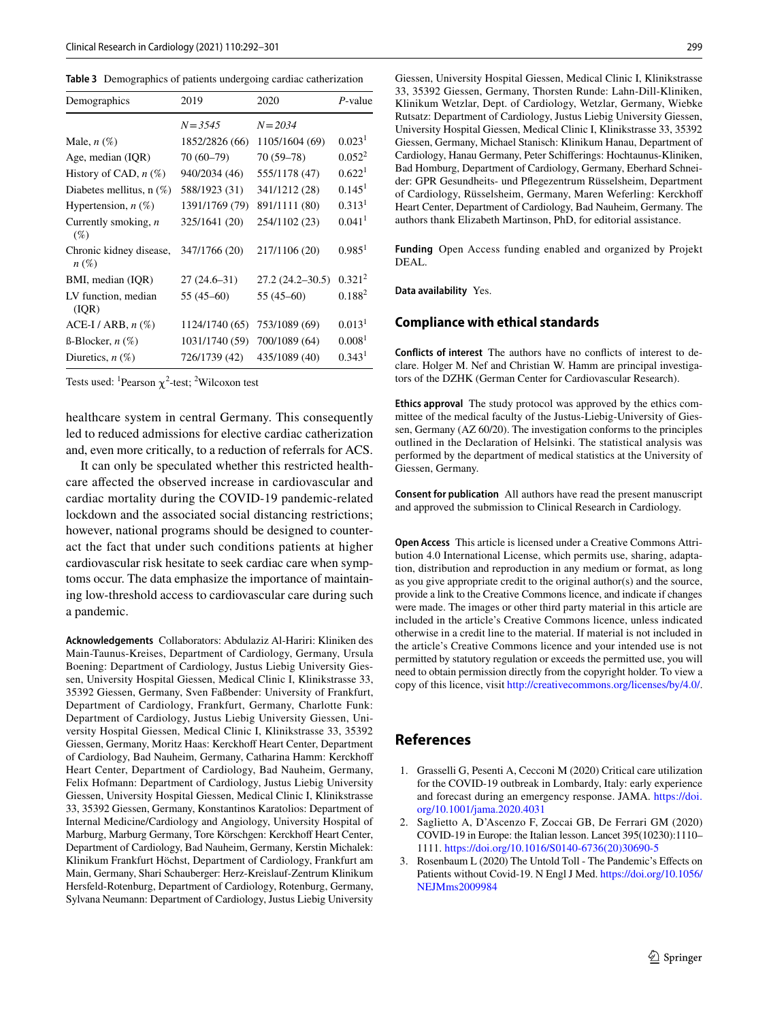<span id="page-7-3"></span>

| Table 3 Demographics of patients undergoing cardiac catherization |
|-------------------------------------------------------------------|
|-------------------------------------------------------------------|

| Demographics                                  | 2019           | 2020             | P-value              |
|-----------------------------------------------|----------------|------------------|----------------------|
|                                               | $N = 3.545$    | $N = 2034$       |                      |
| Male, $n(\%)$                                 | 1852/2826 (66) | 1105/1604 (69)   | 0.023 <sup>1</sup>   |
| Age, median (IQR)                             | 70 (60-79)     | 70 (59-78)       | $0.052^2$            |
| History of CAD, $n$ (%)                       | 940/2034 (46)  | 555/1178 (47)    | 0.622 <sup>1</sup>   |
| Diabetes mellitus, $n$ (%)                    | 588/1923 (31)  | 341/1212 (28)    | 0.145 <sup>1</sup>   |
| Hypertension, $n$ (%)                         | 1391/1769 (79) | 891/1111 (80)    | 0.313 <sup>1</sup>   |
| Currently smoking, $n$<br>$(\%)$              | 325/1641 (20)  | 254/1102 (23)    | 0.041 <sup>1</sup>   |
| Chronic kidney disease,<br>$n\left(\%\right)$ | 347/1766 (20)  | 217/1106 (20)    | $0.985$ <sup>1</sup> |
| BMI, median (IQR)                             | $27(24.6-31)$  | 27.2 (24.2–30.5) | 0.321 <sup>2</sup>   |
| LV function, median<br>(IOR)                  | 55 (45–60)     | 55 (45–60)       | $0.188^{2}$          |
| $ACE-I / ARB, n (\%)$                         | 1124/1740 (65) | 753/1089 (69)    | 0.013 <sup>1</sup>   |
| $\beta$ -Blocker, $n(\%)$                     | 1031/1740 (59) | 700/1089 (64)    | 0.008 <sup>1</sup>   |
| Diuretics, $n(\%)$                            | 726/1739 (42)  | 435/1089 (40)    | 0.343 <sup>1</sup>   |

Tests used: <sup>1</sup>Pearson  $\chi^2$ -test; <sup>2</sup>Wilcoxon test

healthcare system in central Germany. This consequently led to reduced admissions for elective cardiac catherization and, even more critically, to a reduction of referrals for ACS.

It can only be speculated whether this restricted healthcare afected the observed increase in cardiovascular and cardiac mortality during the COVID-19 pandemic-related lockdown and the associated social distancing restrictions; however, national programs should be designed to counteract the fact that under such conditions patients at higher cardiovascular risk hesitate to seek cardiac care when symptoms occur. The data emphasize the importance of maintaining low-threshold access to cardiovascular care during such a pandemic.

**Acknowledgements** Collaborators: Abdulaziz Al-Hariri: Kliniken des Main-Taunus-Kreises, Department of Cardiology, Germany, Ursula Boening: Department of Cardiology, Justus Liebig University Giessen, University Hospital Giessen, Medical Clinic I, Klinikstrasse 33, 35392 Giessen, Germany, Sven Faßbender: University of Frankfurt, Department of Cardiology, Frankfurt, Germany, Charlotte Funk: Department of Cardiology, Justus Liebig University Giessen, University Hospital Giessen, Medical Clinic I, Klinikstrasse 33, 35392 Giessen, Germany, Moritz Haas: Kerckhoff Heart Center, Department of Cardiology, Bad Nauheim, Germany, Catharina Hamm: Kerckhof Heart Center, Department of Cardiology, Bad Nauheim, Germany, Felix Hofmann: Department of Cardiology, Justus Liebig University Giessen, University Hospital Giessen, Medical Clinic I, Klinikstrasse 33, 35392 Giessen, Germany, Konstantinos Karatolios: Department of Internal Medicine/Cardiology and Angiology, University Hospital of Marburg, Marburg Germany, Tore Körschgen: Kerckhoff Heart Center, Department of Cardiology, Bad Nauheim, Germany, Kerstin Michalek: Klinikum Frankfurt Höchst, Department of Cardiology, Frankfurt am Main, Germany, Shari Schauberger: Herz-Kreislauf-Zentrum Klinikum Hersfeld-Rotenburg, Department of Cardiology, Rotenburg, Germany, Sylvana Neumann: Department of Cardiology, Justus Liebig University

Giessen, University Hospital Giessen, Medical Clinic I, Klinikstrasse 33, 35392 Giessen, Germany, Thorsten Runde: Lahn-Dill-Kliniken, Klinikum Wetzlar, Dept. of Cardiology, Wetzlar, Germany, Wiebke Rutsatz: Department of Cardiology, Justus Liebig University Giessen, University Hospital Giessen, Medical Clinic I, Klinikstrasse 33, 35392 Giessen, Germany, Michael Stanisch: Klinikum Hanau, Department of Cardiology, Hanau Germany, Peter Schiferings: Hochtaunus-Kliniken, Bad Homburg, Department of Cardiology, Germany, Eberhard Schneider: GPR Gesundheits- und Pfegezentrum Rüsselsheim, Department of Cardiology, Rüsselsheim, Germany, Maren Weferling: Kerckhof Heart Center, Department of Cardiology, Bad Nauheim, Germany. The authors thank Elizabeth Martinson, PhD, for editorial assistance.

**Funding** Open Access funding enabled and organized by Projekt DEAL.

**Data availability** Yes.

#### **Compliance with ethical standards**

**Conflicts of interest** The authors have no conficts of interest to declare. Holger M. Nef and Christian W. Hamm are principal investigators of the DZHK (German Center for Cardiovascular Research).

**Ethics approval** The study protocol was approved by the ethics committee of the medical faculty of the Justus-Liebig-University of Giessen, Germany (AZ 60/20). The investigation conforms to the principles outlined in the Declaration of Helsinki. The statistical analysis was performed by the department of medical statistics at the University of Giessen, Germany.

**Consent for publication** All authors have read the present manuscript and approved the submission to Clinical Research in Cardiology.

**Open Access** This article is licensed under a Creative Commons Attribution 4.0 International License, which permits use, sharing, adaptation, distribution and reproduction in any medium or format, as long as you give appropriate credit to the original author(s) and the source, provide a link to the Creative Commons licence, and indicate if changes were made. The images or other third party material in this article are included in the article's Creative Commons licence, unless indicated otherwise in a credit line to the material. If material is not included in the article's Creative Commons licence and your intended use is not permitted by statutory regulation or exceeds the permitted use, you will need to obtain permission directly from the copyright holder. To view a copy of this licence, visit<http://creativecommons.org/licenses/by/4.0/>.

## **References**

- <span id="page-7-0"></span>1. Grasselli G, Pesenti A, Cecconi M (2020) Critical care utilization for the COVID-19 outbreak in Lombardy, Italy: early experience and forecast during an emergency response. JAMA. [https://doi.](https://doi.org/10.1001/jama.2020.4031) [org/10.1001/jama.2020.4031](https://doi.org/10.1001/jama.2020.4031)
- <span id="page-7-2"></span>2. Saglietto A, D'Ascenzo F, Zoccai GB, De Ferrari GM (2020) COVID-19 in Europe: the Italian lesson. Lancet 395(10230):1110– 1111. [https://doi.org/10.1016/S0140-6736\(20\)30690-5](https://doi.org/10.1016/S0140-6736(20)30690-5)
- <span id="page-7-1"></span>3. Rosenbaum L (2020) The Untold Toll - The Pandemic's Efects on Patients without Covid-19. N Engl J Med. [https://doi.org/10.1056/](https://doi.org/10.1056/NEJMms2009984) [NEJMms2009984](https://doi.org/10.1056/NEJMms2009984)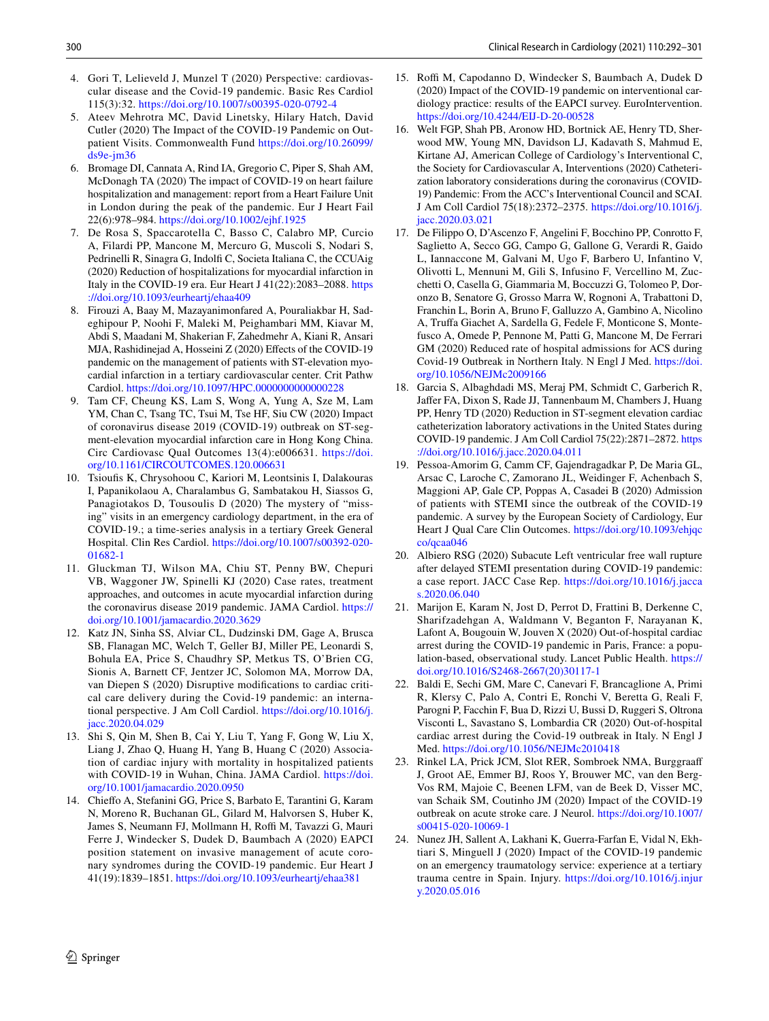- <span id="page-8-0"></span>4. Gori T, Lelieveld J, Munzel T (2020) Perspective: cardiovascular disease and the Covid-19 pandemic. Basic Res Cardiol 115(3):32.<https://doi.org/10.1007/s00395-020-0792-4>
- <span id="page-8-1"></span>5. Ateev Mehrotra MC, David Linetsky, Hilary Hatch, David Cutler (2020) The Impact of the COVID-19 Pandemic on Outpatient Visits. Commonwealth Fund [https://doi.org/10.26099/](https://doi.org/10.26099/ds9e-jm36) [ds9e-jm36](https://doi.org/10.26099/ds9e-jm36)
- <span id="page-8-2"></span>6. Bromage DI, Cannata A, Rind IA, Gregorio C, Piper S, Shah AM, McDonagh TA (2020) The impact of COVID-19 on heart failure hospitalization and management: report from a Heart Failure Unit in London during the peak of the pandemic. Eur J Heart Fail 22(6):978–984.<https://doi.org/10.1002/ejhf.1925>
- <span id="page-8-3"></span>7. De Rosa S, Spaccarotella C, Basso C, Calabro MP, Curcio A, Filardi PP, Mancone M, Mercuro G, Muscoli S, Nodari S, Pedrinelli R, Sinagra G, Indolf C, Societa Italiana C, the CCUAig (2020) Reduction of hospitalizations for myocardial infarction in Italy in the COVID-19 era. Eur Heart J 41(22):2083–2088. [https](https://doi.org/10.1093/eurheartj/ehaa409) [://doi.org/10.1093/eurheartj/ehaa409](https://doi.org/10.1093/eurheartj/ehaa409)
- 8. Firouzi A, Baay M, Mazayanimonfared A, Pouraliakbar H, Sadeghipour P, Noohi F, Maleki M, Peighambari MM, Kiavar M, Abdi S, Maadani M, Shakerian F, Zahedmehr A, Kiani R, Ansari MJA, Rashidinejad A, Hosseini Z (2020) Efects of the COVID-19 pandemic on the management of patients with ST-elevation myocardial infarction in a tertiary cardiovascular center. Crit Pathw Cardiol.<https://doi.org/10.1097/HPC.0000000000000228>
- <span id="page-8-9"></span>9. Tam CF, Cheung KS, Lam S, Wong A, Yung A, Sze M, Lam YM, Chan C, Tsang TC, Tsui M, Tse HF, Siu CW (2020) Impact of coronavirus disease 2019 (COVID-19) outbreak on ST-segment-elevation myocardial infarction care in Hong Kong China. Circ Cardiovasc Qual Outcomes 13(4):e006631. [https://doi.](https://doi.org/10.1161/CIRCOUTCOMES.120.006631) [org/10.1161/CIRCOUTCOMES.120.006631](https://doi.org/10.1161/CIRCOUTCOMES.120.006631)
- 10. Tsioufs K, Chrysohoou C, Kariori M, Leontsinis I, Dalakouras I, Papanikolaou A, Charalambus G, Sambatakou H, Siassos G, Panagiotakos D, Tousoulis D (2020) The mystery of "missing" visits in an emergency cardiology department, in the era of COVID-19.; a time-series analysis in a tertiary Greek General Hospital. Clin Res Cardiol. [https://doi.org/10.1007/s00392-020-](https://doi.org/10.1007/s00392-020-01682-1) [01682-1](https://doi.org/10.1007/s00392-020-01682-1)
- <span id="page-8-4"></span>11. Gluckman TJ, Wilson MA, Chiu ST, Penny BW, Chepuri VB, Waggoner JW, Spinelli KJ (2020) Case rates, treatment approaches, and outcomes in acute myocardial infarction during the coronavirus disease 2019 pandemic. JAMA Cardiol. [https://](https://doi.org/10.1001/jamacardio.2020.3629) [doi.org/10.1001/jamacardio.2020.3629](https://doi.org/10.1001/jamacardio.2020.3629)
- <span id="page-8-5"></span>12. Katz JN, Sinha SS, Alviar CL, Dudzinski DM, Gage A, Brusca SB, Flanagan MC, Welch T, Geller BJ, Miller PE, Leonardi S, Bohula EA, Price S, Chaudhry SP, Metkus TS, O'Brien CG, Sionis A, Barnett CF, Jentzer JC, Solomon MA, Morrow DA, van Diepen S (2020) Disruptive modifcations to cardiac critical care delivery during the Covid-19 pandemic: an international perspective. J Am Coll Cardiol. [https://doi.org/10.1016/j.](https://doi.org/10.1016/j.jacc.2020.04.029) [jacc.2020.04.029](https://doi.org/10.1016/j.jacc.2020.04.029)
- <span id="page-8-6"></span>13. Shi S, Qin M, Shen B, Cai Y, Liu T, Yang F, Gong W, Liu X, Liang J, Zhao Q, Huang H, Yang B, Huang C (2020) Association of cardiac injury with mortality in hospitalized patients with COVID-19 in Wuhan, China. JAMA Cardiol. [https://doi.](https://doi.org/10.1001/jamacardio.2020.0950) [org/10.1001/jamacardio.2020.0950](https://doi.org/10.1001/jamacardio.2020.0950)
- <span id="page-8-7"></span>14. Chiefo A, Stefanini GG, Price S, Barbato E, Tarantini G, Karam N, Moreno R, Buchanan GL, Gilard M, Halvorsen S, Huber K, James S, Neumann FJ, Mollmann H, Roffi M, Tavazzi G, Mauri Ferre J, Windecker S, Dudek D, Baumbach A (2020) EAPCI position statement on invasive management of acute coronary syndromes during the COVID-19 pandemic. Eur Heart J 41(19):1839–1851.<https://doi.org/10.1093/eurheartj/ehaa381>
- <span id="page-8-12"></span>15. Roffi M, Capodanno D, Windecker S, Baumbach A, Dudek D (2020) Impact of the COVID-19 pandemic on interventional cardiology practice: results of the EAPCI survey. EuroIntervention. <https://doi.org/10.4244/EIJ-D-20-00528>
- <span id="page-8-8"></span>16. Welt FGP, Shah PB, Aronow HD, Bortnick AE, Henry TD, Sherwood MW, Young MN, Davidson LJ, Kadavath S, Mahmud E, Kirtane AJ, American College of Cardiology's Interventional C, the Society for Cardiovascular A, Interventions (2020) Catheterization laboratory considerations during the coronavirus (COVID-19) Pandemic: From the ACC's Interventional Council and SCAI. J Am Coll Cardiol 75(18):2372–2375. [https://doi.org/10.1016/j.](https://doi.org/10.1016/j.jacc.2020.03.021) [jacc.2020.03.021](https://doi.org/10.1016/j.jacc.2020.03.021)
- <span id="page-8-10"></span>17. De Filippo O, D'Ascenzo F, Angelini F, Bocchino PP, Conrotto F, Saglietto A, Secco GG, Campo G, Gallone G, Verardi R, Gaido L, Iannaccone M, Galvani M, Ugo F, Barbero U, Infantino V, Olivotti L, Mennuni M, Gili S, Infusino F, Vercellino M, Zucchetti O, Casella G, Giammaria M, Boccuzzi G, Tolomeo P, Doronzo B, Senatore G, Grosso Marra W, Rognoni A, Trabattoni D, Franchin L, Borin A, Bruno F, Galluzzo A, Gambino A, Nicolino A, Trufa Giachet A, Sardella G, Fedele F, Monticone S, Montefusco A, Omede P, Pennone M, Patti G, Mancone M, De Ferrari GM (2020) Reduced rate of hospital admissions for ACS during Covid-19 Outbreak in Northern Italy. N Engl J Med. [https://doi.](https://doi.org/10.1056/NEJMc2009166) [org/10.1056/NEJMc2009166](https://doi.org/10.1056/NEJMc2009166)
- <span id="page-8-13"></span>18. Garcia S, Albaghdadi MS, Meraj PM, Schmidt C, Garberich R, Jafer FA, Dixon S, Rade JJ, Tannenbaum M, Chambers J, Huang PP, Henry TD (2020) Reduction in ST-segment elevation cardiac catheterization laboratory activations in the United States during COVID-19 pandemic. J Am Coll Cardiol 75(22):2871–2872. [https](https://doi.org/10.1016/j.jacc.2020.04.011) [://doi.org/10.1016/j.jacc.2020.04.011](https://doi.org/10.1016/j.jacc.2020.04.011)
- <span id="page-8-11"></span>19. Pessoa-Amorim G, Camm CF, Gajendragadkar P, De Maria GL, Arsac C, Laroche C, Zamorano JL, Weidinger F, Achenbach S, Maggioni AP, Gale CP, Poppas A, Casadei B (2020) Admission of patients with STEMI since the outbreak of the COVID-19 pandemic. A survey by the European Society of Cardiology, Eur Heart J Qual Care Clin Outcomes. [https://doi.org/10.1093/ehjqc](https://doi.org/10.1093/ehjqcco/qcaa046) [co/qcaa046](https://doi.org/10.1093/ehjqcco/qcaa046)
- <span id="page-8-14"></span>20. Albiero RSG (2020) Subacute Left ventricular free wall rupture after delayed STEMI presentation during COVID-19 pandemic: a case report. JACC Case Rep. [https://doi.org/10.1016/j.jacca](https://doi.org/10.1016/j.jaccas.2020.06.040) [s.2020.06.040](https://doi.org/10.1016/j.jaccas.2020.06.040)
- 21. Marijon E, Karam N, Jost D, Perrot D, Frattini B, Derkenne C, Sharifzadehgan A, Waldmann V, Beganton F, Narayanan K, Lafont A, Bougouin W, Jouven X (2020) Out-of-hospital cardiac arrest during the COVID-19 pandemic in Paris, France: a population-based, observational study. Lancet Public Health. [https://](https://doi.org/10.1016/S2468-2667(20)30117-1) [doi.org/10.1016/S2468-2667\(20\)30117-1](https://doi.org/10.1016/S2468-2667(20)30117-1)
- 22. Baldi E, Sechi GM, Mare C, Canevari F, Brancaglione A, Primi R, Klersy C, Palo A, Contri E, Ronchi V, Beretta G, Reali F, Parogni P, Facchin F, Bua D, Rizzi U, Bussi D, Ruggeri S, Oltrona Visconti L, Savastano S, Lombardia CR (2020) Out-of-hospital cardiac arrest during the Covid-19 outbreak in Italy. N Engl J Med.<https://doi.org/10.1056/NEJMc2010418>
- <span id="page-8-15"></span>23. Rinkel LA, Prick JCM, Slot RER, Sombroek NMA, Burggraaf J, Groot AE, Emmer BJ, Roos Y, Brouwer MC, van den Berg-Vos RM, Majoie C, Beenen LFM, van de Beek D, Visser MC, van Schaik SM, Coutinho JM (2020) Impact of the COVID-19 outbreak on acute stroke care. J Neurol. [https://doi.org/10.1007/](https://doi.org/10.1007/s00415-020-10069-1) [s00415-020-10069-1](https://doi.org/10.1007/s00415-020-10069-1)
- <span id="page-8-16"></span>24. Nunez JH, Sallent A, Lakhani K, Guerra-Farfan E, Vidal N, Ekhtiari S, Minguell J (2020) Impact of the COVID-19 pandemic on an emergency traumatology service: experience at a tertiary trauma centre in Spain. Injury. [https://doi.org/10.1016/j.injur](https://doi.org/10.1016/j.injury.2020.05.016) [y.2020.05.016](https://doi.org/10.1016/j.injury.2020.05.016)